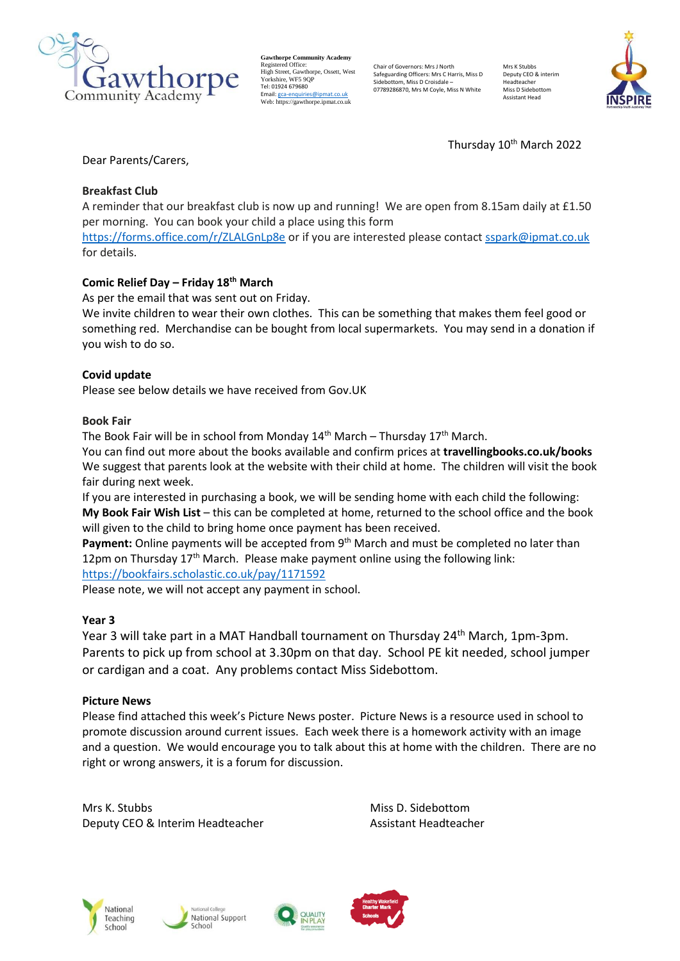

**Gawthorpe Community Academy** Registered Office: High Street, Gawthorpe, Ossett, West Yorkshire, WF5 9OF Tel: 01924 679680 Email[: gca-enquiries@ipmat.co.uk](mailto:gca-enquiries@ipmat.co.uk) Web: https://gawthorpe.ipmat.co.uk

Chair of Governors: Mrs J North Safeguarding Officers: Mrs C Harris, Miss D Sidebottom, Miss D Croisdale – 07789286870, Mrs M Coyle, Miss N White

Mrs K Stubb Deputy CEO & interim Headteacher Miss D Sidebotto Assistant Head



Thursday 10<sup>th</sup> March 2022

Dear Parents/Carers,

## **Breakfast Club**

A reminder that our breakfast club is now up and running! We are open from 8.15am daily at £1.50 per morning. You can book your child a place using this form

<https://forms.office.com/r/ZLALGnLp8e> or if you are interested please contact [sspark@ipmat.co.uk](mailto:sspark@ipmat.co.uk) for details.

## **Comic Relief Day – Friday 18th March**

As per the email that was sent out on Friday.

We invite children to wear their own clothes. This can be something that makes them feel good or something red. Merchandise can be bought from local supermarkets. You may send in a donation if you wish to do so.

## **Covid update**

Please see below details we have received from Gov.UK

#### **Book Fair**

The Book Fair will be in school from Monday  $14<sup>th</sup>$  March – Thursday  $17<sup>th</sup>$  March.

You can find out more about the books available and confirm prices at **travellingbooks.co.uk/books** We suggest that parents look at the website with their child at home. The children will visit the book fair during next week.

If you are interested in purchasing a book, we will be sending home with each child the following: **My Book Fair Wish List** – this can be completed at home, returned to the school office and the book will given to the child to bring home once payment has been received.

Payment: Online payments will be accepted from 9<sup>th</sup> March and must be completed no later than 12pm on Thursday  $17<sup>th</sup>$  March. Please make payment online using the following link: <https://bookfairs.scholastic.co.uk/pay/1171592>

Please note, we will not accept any payment in school.

## **Year 3**

Year 3 will take part in a MAT Handball tournament on Thursday 24<sup>th</sup> March, 1pm-3pm. Parents to pick up from school at 3.30pm on that day. School PE kit needed, school jumper or cardigan and a coat. Any problems contact Miss Sidebottom.

## **Picture News**

Please find attached this week's Picture News poster. Picture News is a resource used in school to promote discussion around current issues. Each week there is a homework activity with an image and a question. We would encourage you to talk about this at home with the children. There are no right or wrong answers, it is a forum for discussion.

Mrs K. Stubbs Miss D. Sidebottom Deputy CEO & Interim Headteacher **Assistant Headteacher** Assistant Headteacher







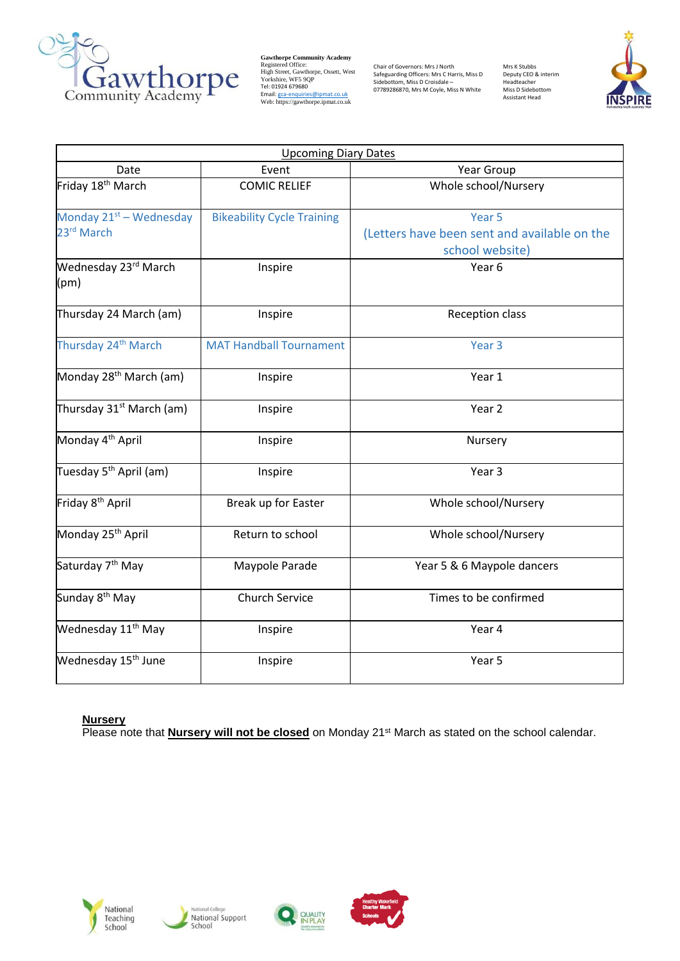

Gawthorpe Community Academy<br>
Righ Street, Gawthorpe, Ossett, West<br>
Yorkshire, WF5 9QP<br>
Tel: 01924 679680<br>
Hel: 1924 679680<br>
Web: https://gawthorpe.ipmat.co.uk<br>
Web: https://gawthorpe.ipmat.co.uk

Chair of Governors: Mrs J North<br>Safeguarding Officers: Mrs C Harris, Miss D<br>Sidebottom, Miss D Croisdale –<br>07789286870, Mrs M Coyle, Miss N White

Mrs K Stubbs Deputy CEO & interim Headteacher Miss D Sidebottom Assistant Head



| <b>Upcoming Diary Dates</b>                       |                                   |                                                                                      |
|---------------------------------------------------|-----------------------------------|--------------------------------------------------------------------------------------|
| Date                                              | Event                             | Year Group                                                                           |
| Friday 18 <sup>th</sup> March                     | <b>COMIC RELIEF</b>               | Whole school/Nursery                                                                 |
| Monday 21 <sup>st</sup> – Wednesday<br>23rd March | <b>Bikeability Cycle Training</b> | Year <sub>5</sub><br>(Letters have been sent and available on the<br>school website) |
| Wednesday 23rd March<br>(pm)                      | Inspire                           | Year <sub>6</sub>                                                                    |
| Thursday 24 March (am)                            | Inspire                           | Reception class                                                                      |
| Thursday 24 <sup>th</sup> March                   | <b>MAT Handball Tournament</b>    | Year <sub>3</sub>                                                                    |
| Monday 28 <sup>th</sup> March (am)                | Inspire                           | Year 1                                                                               |
| Thursday 31 <sup>st</sup> March (am)              | Inspire                           | Year 2                                                                               |
| Monday 4 <sup>th</sup> April                      | Inspire                           | Nursery                                                                              |
| Tuesday 5 <sup>th</sup> April (am)                | Inspire                           | Year 3                                                                               |
| Friday 8 <sup>th</sup> April                      | Break up for Easter               | Whole school/Nursery                                                                 |
| Monday 25 <sup>th</sup> April                     | Return to school                  | Whole school/Nursery                                                                 |
| Saturday 7 <sup>th</sup> May                      | Maypole Parade                    | Year 5 & 6 Maypole dancers                                                           |
| Sunday 8 <sup>th</sup> May                        | <b>Church Service</b>             | Times to be confirmed                                                                |
| Wednesday 11 <sup>th</sup> May                    | Inspire                           | Year 4                                                                               |
| Wednesday 15 <sup>th</sup> June                   | Inspire                           | Year 5                                                                               |

**Nursery**

Please note that **Nursery will not be closed** on Monday 21<sup>st</sup> March as stated on the school calendar.







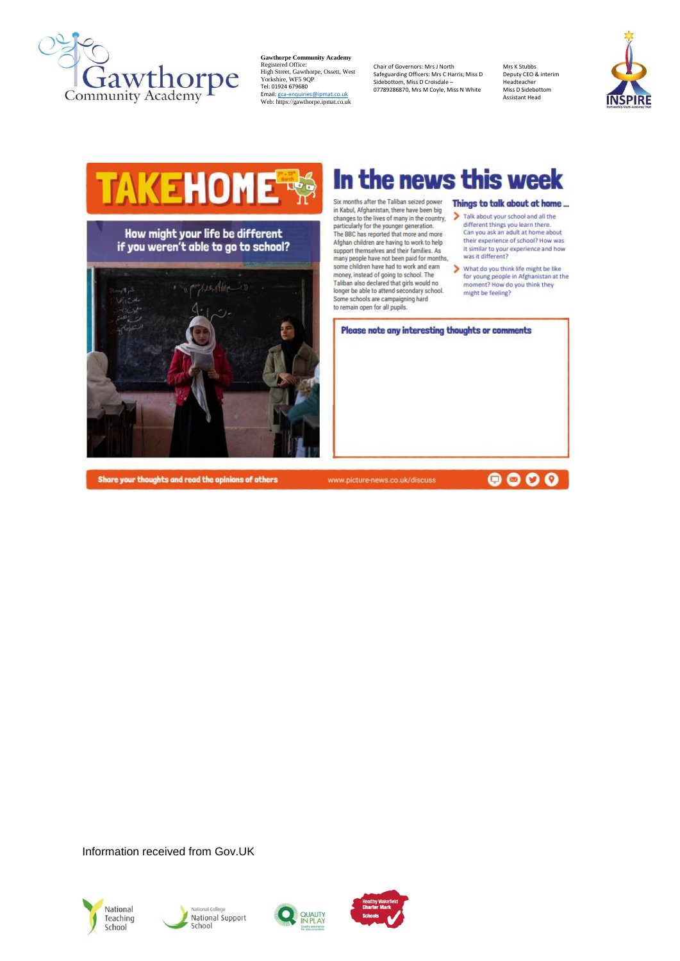

**Gawthorpe Community Academy** Registered Office: High Street, Gawthorpe, Ossett, West Yorkshire, WF5 9QP Tel: 01924 679680 Email[: gca-enquiries@ipmat.co.uk](mailto:gca-enquiries@ipmat.co.uk) Web: https://gawthorpe.ipmat.co.uk

Chair of Governors: Mrs J North Safeguarding Officers: Mrs C Harris, Miss D Sidebottom, Miss D Croisdale – 07789286870, Mrs M Coyle, Miss N White

Please note any interesting thoughts or comments

Mrs K Stubbs Deputy CEO & interim Headteacher Miss D Sidebottom Assistant Head



## KEHOM **Fugg**



Share your thoughts and read the opinions of others

www.picture-news.co.uk/discuss

### In the news this week Six months after the Taliban seized power Things to talk about at home ...

in Kabul, Afghanistan, there have been hip > Talk about your school and all the changes to the lives of many in the country, particularly for the younger generation.<br>The BBC has reported that more and more Afghan children are having to work to help It similar to your experience and how<br>was it different? support themselves and their families. As many people have not been paid for months,<br>some children have had to work and earn

moment? How do you think they might be feeling?

different things you learn there. Can you ask an adult at home about<br>their experience of school? How was

> What do you think life might be like<br>for young people in Afghanistan at the

 $\bullet\,\circ\,\circ\,\circ$ 

Information received from Gov.UK







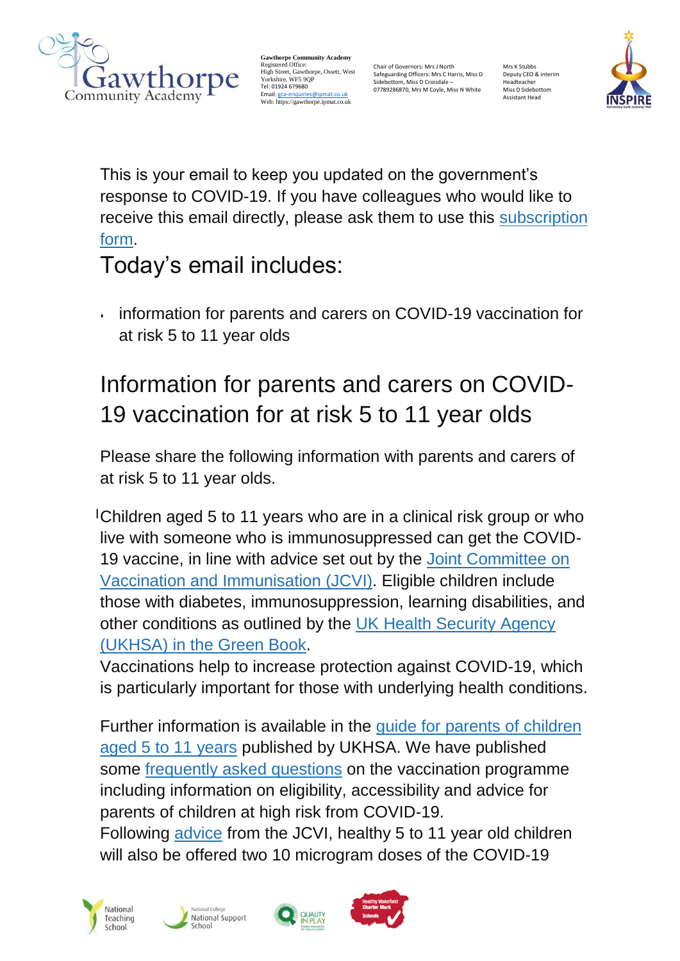

**Gawthorpe Community Academy** Registered Office: High Street, Gawthorpe, Ossett, West Yorkshire, WF5 9QP Tel: 01924 679680 Email[: gca-enquiries@ipmat.co.uk](mailto:gca-enquiries@ipmat.co.uk) Web: https://gawthorpe.ipmat.co.uk

Chair of Governors: Mrs J North Safeguarding Officers: Mrs C Harris, Miss D Sidebottom, Miss D Croisdale – 07789286870, Mrs M Coyle, Miss N White

Mrs K Stubb Deputy CEO & interim Headteacher Miss D Sidebottom Assistant Head



This is your email to keep you updated on the government's response to COVID-19. If you have colleagues who would like to receive this email directly, please ask them to use this [subscription](https://forms.office.com/Pages/ResponsePage.aspx?id=yXfS-grGoU2187O4s0qC-QqN_lFznWdElvOZAsgLa61UMlVaSEZWQVA3RDE1VU05SlVOQVFDNVlINy4u) [form.](https://forms.office.com/Pages/ResponsePage.aspx?id=yXfS-grGoU2187O4s0qC-QqN_lFznWdElvOZAsgLa61UMlVaSEZWQVA3RDE1VU05SlVOQVFDNVlINy4u)

## Today's email includes:

• information for parents and carers on COVID-19 vaccination for at risk 5 to 11 year olds

# Information for parents and carers on COVID-19 vaccination for at risk 5 to 11 year olds

Please share the following information with parents and carers of at risk 5 to 11 year olds.

I Children aged 5 to 11 years who are in a clinical risk group or who live with someone who is immunosuppressed can get the COVID-19 vaccine, in line with advice set out by the Joint [Committee](https://www.gov.uk/government/publications/priority-groups-for-coronavirus-covid-19-vaccination-advice-from-the-jcvi-30-december-2020/joint-committee-on-vaccination-and-immunisation-advice-on-priority-groups-for-covid-19-vaccination-30-december-2020?utm_source=8%20March%202022%20C19&utm_medium=Daily%20Email%20C19&utm_campaign=DfE%20C19) on Vaccination and [Immunisation](https://www.gov.uk/government/publications/priority-groups-for-coronavirus-covid-19-vaccination-advice-from-the-jcvi-30-december-2020/joint-committee-on-vaccination-and-immunisation-advice-on-priority-groups-for-covid-19-vaccination-30-december-2020?utm_source=8%20March%202022%20C19&utm_medium=Daily%20Email%20C19&utm_campaign=DfE%20C19) (JCVI). Eligible children include those with diabetes, immunosuppression, learning disabilities, and other conditions as outlined by the UK Health [Security](https://www.gov.uk/government/publications/covid-19-the-green-book-chapter-14a?utm_source=8%20March%202022%20C19&utm_medium=Daily%20Email%20C19&utm_campaign=DfE%20C19) Agency [\(UKHSA\)](https://www.gov.uk/government/publications/covid-19-the-green-book-chapter-14a?utm_source=8%20March%202022%20C19&utm_medium=Daily%20Email%20C19&utm_campaign=DfE%20C19) in the Green Book.

Vaccinations help to increase protection against COVID-19, which is particularly important for those with underlying health conditions.

Further information is available in the guide for parents of [children](https://www.gov.uk/government/publications/covid-19-vaccination-resources-for-children-aged-5-to-11-years/a-guide-for-parents-of-children-aged-5-to-11-years-of-age-at-high-risk?utm_source=8%20March%202022%20C19&utm_medium=Daily%20Email%20C19&utm_campaign=DfE%20C19) aged 5 to 11 [years](https://www.gov.uk/government/publications/covid-19-vaccination-resources-for-children-aged-5-to-11-years/a-guide-for-parents-of-children-aged-5-to-11-years-of-age-at-high-risk?utm_source=8%20March%202022%20C19&utm_medium=Daily%20Email%20C19&utm_campaign=DfE%20C19) published by UKHSA. We have published some [frequently](https://educationhub.blog.gov.uk/2022/02/11/vaccinations-for-clinically-vulnerable-children-and-young-people-your-questions-answered/?utm_source=8%20March%202022%20C19&utm_medium=Daily%20Email%20C19&utm_campaign=DfE%20C19) asked questions on the vaccination programme including information on eligibility, accessibility and advice for parents of children at high risk from COVID-19. Following [advice](https://www.gov.uk/government/publications/jcvi-update-on-advice-for-covid-19-vaccination-of-children-aged-5-to-11/jcvi-statement-on-vaccination-of-children-aged-5-to-11-years-old?utm_source=8%20March%202022%20C19&utm_medium=Daily%20Email%20C19&utm_campaign=DfE%20C19) from the JCVI, healthy 5 to 11 year old children

will also be offered two 10 microgram doses of the COVID-19